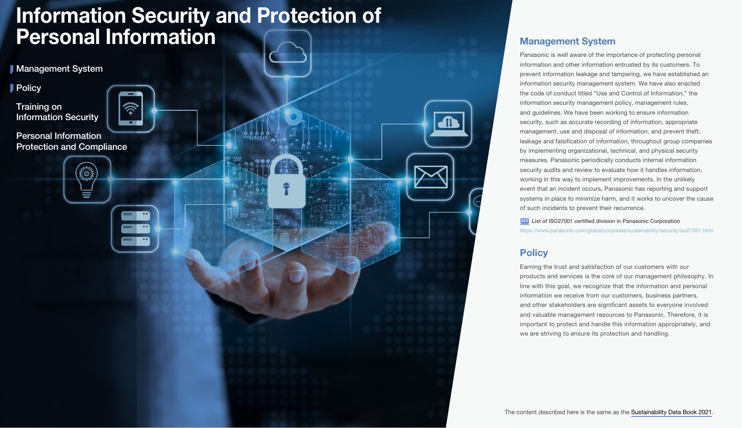## <span id="page-0-0"></span>Information Security and Protection of **Personal Information** Management System

The content described here is the same as the [Sustainability Data Book 2021.](https://holdings.panasonic/global/corporate/sustainability/pdf/sdb2021e.pdf)

Panasonic is well aware of the importance of protecting personal information and other information entrusted by its customers. To prevent information leakage and tampering, we have established an information security management system. We have also enacted the code of conduct titled "Use and Control of Information," the information security management policy, management rules, and guidelines. We have been working to ensure information security, such as accurate recording of information, appropriate management, use and disposal of information, and prevent theft, leakage and falsification of information, throughout group companies by implementing organizational, technical, and physical security measures. Panasonic periodically conducts internal information security audits and review to evaluate how it handles information. working in this way to implement improvements. In the unlikely event that an incident occurs, Panasonic has reporting and support systems in place to minimize harm, and it works to uncover the cause

of such incidents to prevent their recurrence.

**Policy** 

**WEB** [List of ISO27001 certified division in Panasonic Corporation](https://www.panasonic.com/global/corporate/sustainability/security/iso27001.html)

Earning the trust and satisfaction of our customers with our

we are striving to ensure its protection and handling.

<https://www.panasonic.com/global/corporate/sustainability/security/iso27001.html>

products and services is the core of our management philosophy. In line with this goal, we recognize that the information and personal information we receive from our customers, business partners, and other stakeholders are significant assets to everyone involved and valuable management resources to Panasonic. Therefore, it is important to protect and handle this information appropriately, and

**Management System** 

**Policy** 

Training on [Information Security](#page-1-0) 

Personal Information [Protection and Compliance](#page-1-0)

(6)

∕ลิ